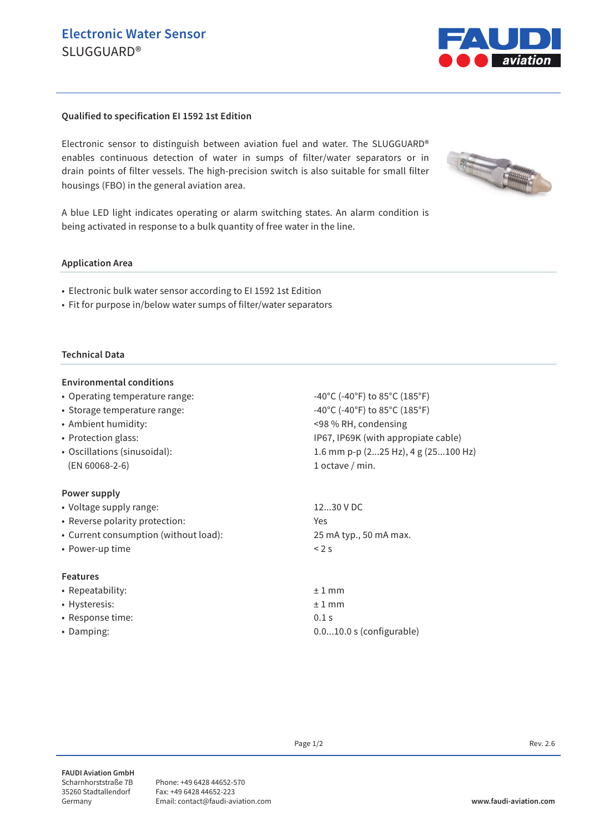

## **Qualified to specification EI 1592 1st Edition**

Electronic sensor to distinguish between aviation fuel and water. The SLUGGUARD® enables continuous detection of water in sumps of filter/water separators or in drain points of filter vessels. The high-precision switch is also suitable for small filter housings (FBO) in the general aviation area.



A blue LED light indicates operating or alarm switching states. An alarm condition is being activated in response to a bulk quantity of free water in the line.

#### **Application Area**

- Electronic bulk water sensor according to EI 1592 1st Edition
- Fit for purpose in/below water sumps of filter/water separators

### **Technical Data**

### **Environmental conditions**

- Operating temperature range:  $-40^{\circ}C$   $-40^{\circ}C$   $+60^{\circ}F$ ) to 85 $^{\circ}C$  (185 $^{\circ}F$ )
- Storage temperature range:  $-40^{\circ}C$   $(-40^{\circ}F)$  to  $85^{\circ}C$   $(185^{\circ}F)$
- Ambient humidity: <98 % RH, condensing
- Protection glass: IP67, IP69K (with appropiate cable)
- Oscillations (sinusoidal): 1.6 mm p-p (2...25 Hz), 4 g (25...100 Hz) (EN 60068-2-6) 1 octave / min.

### **Power supply**

| • Voltage supply range:               | 1230 V DC              |
|---------------------------------------|------------------------|
| • Reverse polarity protection:        | Yes                    |
| • Current consumption (without load): | 25 mA typ., 50 mA max. |
| • Power-up time                       | < 2s                   |
| <b>Features</b>                       |                        |
| • Repeatability:                      | $±1$ mm                |
| • Hysteresis:                         | $±1$ mm                |
| • Response time:                      | 0.1 s                  |

- -

• Damping: 0.0...10.0 s (configurable)

Page  $1/2$  Rev. 2.6